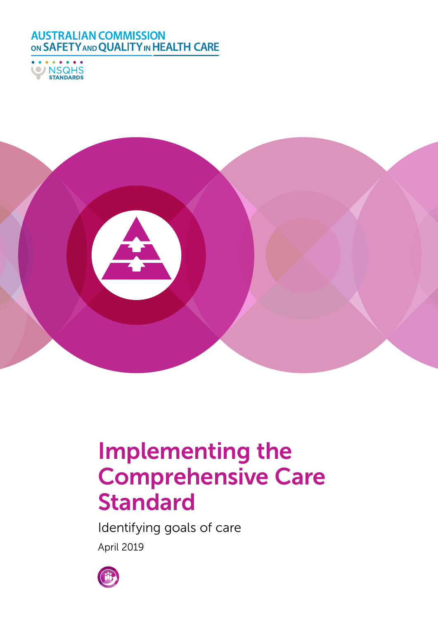### **AUSTRALIAN COMMISSION** ON SAFETY AND QUALITY IN HEALTH CARE





# Implementing the Comprehensive Care Standard

Identifying goals of care April 2019

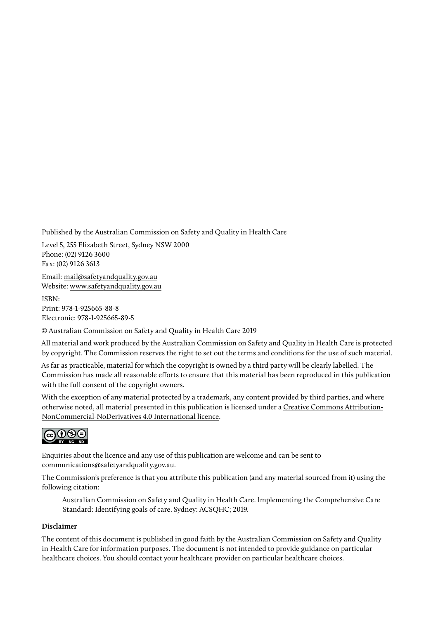Published by the Australian Commission on Safety and Quality in Health Care

Level 5, 255 Elizabeth Street, Sydney NSW 2000 Phone: (02) 9126 3600 Fax: (02) 9126 3613

Email: [mail@safetyandquality.gov.au](mailto:mail%40safetyandquality.gov.au?subject=) Website: [www.safetyandquality.gov.au](http://www.safetyandquality.gov.au)

ISBN: Print: 978-1-925665-88-8 Electronic: 978-1-925665-89-5

© Australian Commission on Safety and Quality in Health Care 2019

All material and work produced by the Australian Commission on Safety and Quality in Health Care is protected by copyright. The Commission reserves the right to set out the terms and conditions for the use of such material.

As far as practicable, material for which the copyright is owned by a third party will be clearly labelled. The Commission has made all reasonable efforts to ensure that this material has been reproduced in this publication with the full consent of the copyright owners.

With the exception of any material protected by a trademark, any content provided by third parties, and where otherwise noted, all material presented in this publication is licensed under a [Creative Commons Attribution-](https://creativecommons.org/licenses/by-nc-nd/4.0/)[NonCommercial-NoDerivatives 4.0 International licence.](https://creativecommons.org/licenses/by-nc-nd/4.0/)



Enquiries about the licence and any use of this publication are welcome and can be sent to [communications@safetyandquality.gov.au.](mailto:communications%40safetyandquality.gov.au?subject=)

The Commission's preference is that you attribute this publication (and any material sourced from it) using the following citation:

Australian Commission on Safety and Quality in Health Care. Implementing the Comprehensive Care Standard: Identifying goals of care. Sydney: ACSQHC; 2019.

#### **Disclaimer**

The content of this document is published in good faith by the Australian Commission on Safety and Quality in Health Care for information purposes. The document is not intended to provide guidance on particular healthcare choices. You should contact your healthcare provider on particular healthcare choices.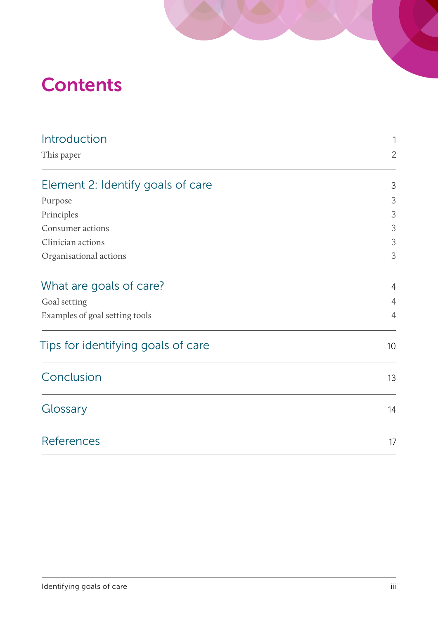# **Contents**

| Introduction                       | 1              |
|------------------------------------|----------------|
| This paper                         | $\overline{2}$ |
| Element 2: Identify goals of care  | 3              |
| Purpose                            | 3              |
| Principles                         | 3              |
| Consumer actions                   | 3              |
| Clinician actions                  | 3              |
| Organisational actions             | 3              |
| What are goals of care?            | $\overline{4}$ |
| Goal setting                       | $\overline{4}$ |
| Examples of goal setting tools     | 4              |
| Tips for identifying goals of care | 10             |
| Conclusion                         | 13             |
| Glossary                           | 14             |
| <b>References</b>                  | 17             |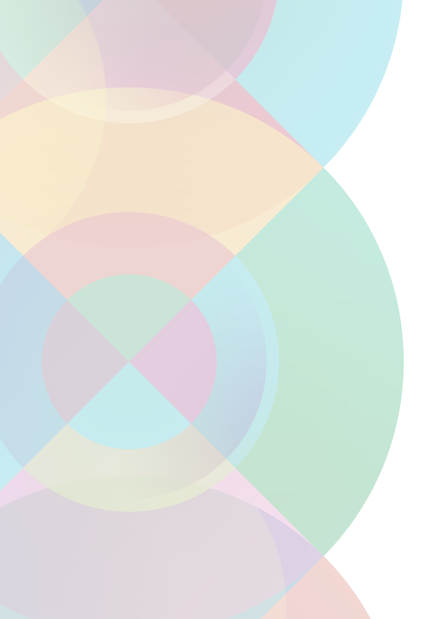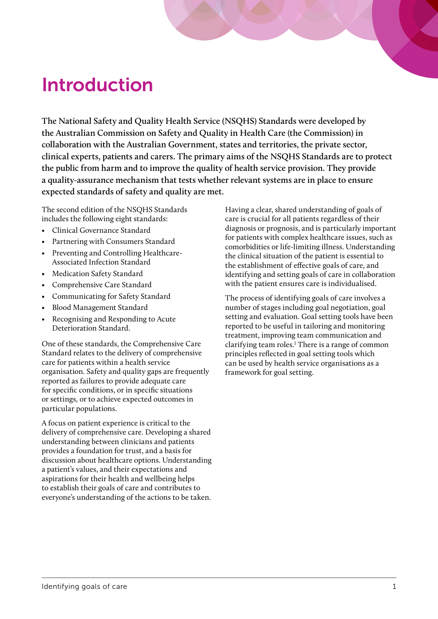# <span id="page-4-0"></span>Introduction

**The National Safety and Quality Health Service (NSQHS) Standards were developed by the Australian Commission on Safety and Quality in Health Care (the Commission) in collaboration with the Australian Government, states and territories, the private sector, clinical experts, patients and carers. The primary aims of the NSQHS Standards are to protect the public from harm and to improve the quality of health service provision. They provide a quality-assurance mechanism that tests whether relevant systems are in place to ensure expected standards of safety and quality are met.** 

The second edition of the NSQHS Standards includes the following eight standards:

- Clinical Governance Standard
- Partnering with Consumers Standard
- Preventing and Controlling Healthcare-Associated Infection Standard
- Medication Safety Standard
- Comprehensive Care Standard
- Communicating for Safety Standard
- Blood Management Standard
- Recognising and Responding to Acute Deterioration Standard.

One of these standards, the Comprehensive Care Standard relates to the delivery of comprehensive care for patients within a health service organisation. Safety and quality gaps are frequently reported as failures to provide adequate care for specific conditions, or in specific situations or settings, or to achieve expected outcomes in particular populations.

A focus on patient experience is critical to the delivery of comprehensive care. Developing a shared understanding between clinicians and patients provides a foundation for trust, and a basis for discussion about healthcare options. Understanding a patient's values, and their expectations and aspirations for their health and wellbeing helps to establish their goals of care and contributes to everyone's understanding of the actions to be taken.

Having a clear, shared understanding of goals of care is crucial for all patients regardless of their diagnosis or prognosis, and is particularly important for patients with complex healthcare issues, such as comorbidities or life-limiting illness. Understanding the clinical situation of the patient is essential to the establishment of effective goals of care, and identifying and setting goals of care in collaboration with the patient ensures care is individualised.

The process of identifying goals of care involves a number of stages including goal negotiation, goal setting and evaluation. Goal setting tools have been reported to be useful in tailoring and monitoring treatment, improving team communication and clarifying team roles.<sup>1</sup> There is a range of common principles reflected in goal setting tools which can be used by health service organisations as a framework for goal setting.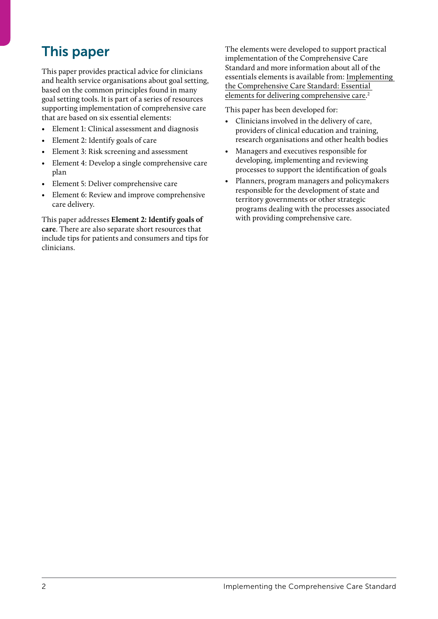## <span id="page-5-0"></span>This paper

This paper provides practical advice for clinicians and health service organisations about goal setting, based on the common principles found in many goal setting tools. It is part of a series of resources supporting implementation of comprehensive care that are based on six essential elements:

- Element 1: Clinical assessment and diagnosis
- Element 2: Identify goals of care
- Element 3: Risk screening and assessment
- Element 4: Develop a single comprehensive care plan
- Element 5: Deliver comprehensive care
- Element 6: Review and improve comprehensive care delivery.

This paper addresses **Element 2: Identify goals of care**. There are also separate short resources that include tips for patients and consumers and tips for clinicians.

The elements were developed to support practical implementation of the Comprehensive Care Standard and more information about all of the essentials elements is available from: Implementing the Comprehensive Care Standard: [Essential](https://www.safetyandquality.gov.au/wp-content/uploads/2018/10/Implementing-Comprehensive-care-Essential-Elements-Accessibility-PDF.pdf)  [elements for delivering comprehensive care](https://www.safetyandquality.gov.au/wp-content/uploads/2018/10/Implementing-Comprehensive-care-Essential-Elements-Accessibility-PDF.pdf). 2

This paper has been developed for:

- Clinicians involved in the delivery of care, providers of clinical education and training, research organisations and other health bodies
- Managers and executives responsible for developing, implementing and reviewing processes to support the identification of goals
- Planners, program managers and policymakers responsible for the development of state and territory governments or other strategic programs dealing with the processes associated with providing comprehensive care.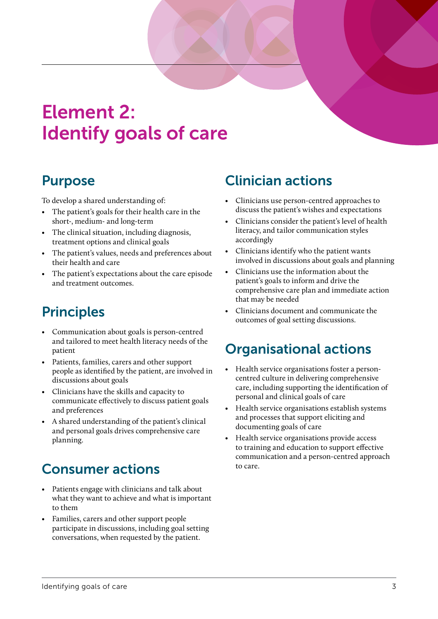# <span id="page-6-0"></span>Element 2: Identify goals of care

### Purpose

To develop a shared understanding of:

- The patient's goals for their health care in the short-, medium- and long-term
- The clinical situation, including diagnosis, treatment options and clinical goals
- The patient's values, needs and preferences about their health and care
- The patient's expectations about the care episode and treatment outcomes.

## **Principles**

- Communication about goals is person-centred and tailored to meet health literacy needs of the patient
- Patients, families, carers and other support people as identified by the patient, are involved in discussions about goals
- Clinicians have the skills and capacity to communicate effectively to discuss patient goals and preferences
- A shared understanding of the patient's clinical and personal goals drives comprehensive care planning.

### Consumer actions

- Patients engage with clinicians and talk about what they want to achieve and what is important to them
- Families, carers and other support people participate in discussions, including goal setting conversations, when requested by the patient.

## Clinician actions

- Clinicians use person-centred approaches to discuss the patient's wishes and expectations
- Clinicians consider the patient's level of health literacy, and tailor communication styles accordingly
- Clinicians identify who the patient wants involved in discussions about goals and planning
- Clinicians use the information about the patient's goals to inform and drive the comprehensive care plan and immediate action that may be needed
- Clinicians document and communicate the outcomes of goal setting discussions.

## Organisational actions

- Health service organisations foster a personcentred culture in delivering comprehensive care, including supporting the identification of personal and clinical goals of care
- Health service organisations establish systems and processes that support eliciting and documenting goals of care
- Health service organisations provide access to training and education to support effective communication and a person-centred approach to care.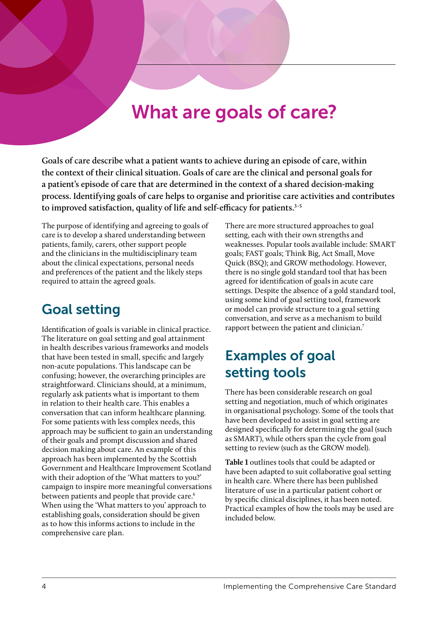# What are goals of care?

<span id="page-7-0"></span>**Goals of care describe what a patient wants to achieve during an episode of care, within the context of their clinical situation. Goals of care are the clinical and personal goals for a patient's episode of care that are determined in the context of a shared decision-making process. Identifying goals of care helps to organise and prioritise care activities and contributes to improved satisfaction, quality of life and self-efficacy for patients.3–5**

The purpose of identifying and agreeing to goals of care is to develop a shared understanding between patients, family, carers, other support people and the clinicians in the multidisciplinary team about the clinical expectations, personal needs and preferences of the patient and the likely steps required to attain the agreed goals.

## Goal setting

Identification of goals is variable in clinical practice. The literature on goal setting and goal attainment in health describes various frameworks and models that have been tested in small, specific and largely non-acute populations. This landscape can be confusing; however, the overarching principles are straightforward. Clinicians should, at a minimum, regularly ask patients what is important to them in relation to their health care. This enables a conversation that can inform healthcare planning. For some patients with less complex needs, this approach may be sufficient to gain an understanding of their goals and prompt discussion and shared decision making about care. An example of this approach has been implemented by the Scottish Government and Healthcare Improvement Scotland with their adoption of the 'What matters to you?' campaign to inspire more meaningful conversations between patients and people that provide care.<sup>6</sup> When using the 'What matters to you' approach to establishing goals, consideration should be given as to how this informs actions to include in the comprehensive care plan.

There are more structured approaches to goal setting, each with their own strengths and weaknesses. Popular tools available include: SMART goals; FAST goals; Think Big, Act Small, Move Quick (BSQ); and GROW methodology. However, there is no single gold standard tool that has been agreed for identification of goals in acute care settings. Despite the absence of a gold standard tool, using some kind of goal setting tool, framework or model can provide structure to a goal setting conversation, and serve as a mechanism to build rapport between the patient and clinician.7

## Examples of goal setting tools

There has been considerable research on goal setting and negotiation, much of which originates in organisational psychology. Some of the tools that have been developed to assist in goal setting are designed specifically for determining the goal (such as SMART), while others span the cycle from goal setting to review (such as the GROW model).

**Table 1** outlines tools that could be adapted or have been adapted to suit collaborative goal setting in health care. Where there has been published literature of use in a particular patient cohort or by specific clinical disciplines, it has been noted. Practical examples of how the tools may be used are included below.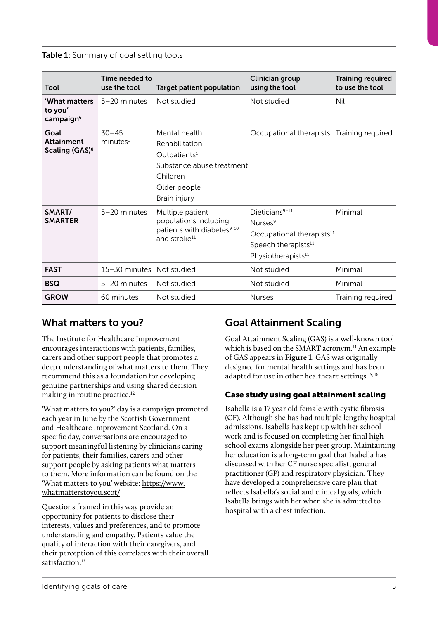| <b>Table 1:</b> Summary of goal setting tools |  |  |  |  |
|-----------------------------------------------|--|--|--|--|
|-----------------------------------------------|--|--|--|--|

| Tool                                                    | Time needed to<br>use the tool    | <b>Target patient population</b>                                                                                            | Clinician group<br>using the tool                                                                                                                               | <b>Training required</b><br>to use the tool |
|---------------------------------------------------------|-----------------------------------|-----------------------------------------------------------------------------------------------------------------------------|-----------------------------------------------------------------------------------------------------------------------------------------------------------------|---------------------------------------------|
| 'What matters<br>to you'<br>campaign <sup>6</sup>       | 5-20 minutes                      | Not studied                                                                                                                 | Not studied                                                                                                                                                     | Nil                                         |
| Goal<br><b>Attainment</b><br>Scaling (GAS) <sup>8</sup> | $30 - 45$<br>minutes <sup>1</sup> | Mental health<br>Rehabilitation<br>Outpatients $1$<br>Substance abuse treatment<br>Children<br>Older people<br>Brain injury | Occupational therapists Training required                                                                                                                       |                                             |
| SMART/<br><b>SMARTER</b>                                | $5-20$ minutes                    | Multiple patient<br>populations including<br>patients with diabetes <sup>9, 10</sup><br>and stroke <sup>11</sup>            | Dieticians <sup>9-11</sup><br>Nurses <sup>9</sup><br>Occupational therapists <sup>11</sup><br>Speech therapists <sup>11</sup><br>Physiotherapists <sup>11</sup> | Minimal                                     |
| <b>FAST</b>                                             | 15-30 minutes Not studied         |                                                                                                                             | Not studied                                                                                                                                                     | Minimal                                     |
| <b>BSQ</b>                                              | 5-20 minutes                      | Not studied                                                                                                                 | Not studied                                                                                                                                                     | Minimal                                     |
| <b>GROW</b>                                             | 60 minutes                        | Not studied                                                                                                                 | <b>Nurses</b>                                                                                                                                                   | Training required                           |

### What matters to you?

The Institute for Healthcare Improvement encourages interactions with patients, families, carers and other support people that promotes a deep understanding of what matters to them. They recommend this as a foundation for developing genuine partnerships and using shared decision making in routine practice.12

'What matters to you?' day is a campaign promoted each year in June by the Scottish Government and Healthcare Improvement Scotland. On a specific day, conversations are encouraged to support meaningful listening by clinicians caring for patients, their families, carers and other support people by asking patients what matters to them. More information can be found on the 'What matters to you' website: [https://www.](https://www.whatmatterstoyou.scot/) [whatmatterstoyou.scot/](https://www.whatmatterstoyou.scot/)

Questions framed in this way provide an opportunity for patients to disclose their interests, values and preferences, and to promote understanding and empathy. Patients value the quality of interaction with their caregivers, and their perception of this correlates with their overall satisfaction<sup>13</sup>

### Goal Attainment Scaling

Goal Attainment Scaling (GAS) is a well-known tool which is based on the SMART acronym.<sup>14</sup> An example of GAS appears in **Figure 1**. GAS was originally designed for mental health settings and has been adapted for use in other healthcare settings.<sup>15, 16</sup>

### Case study using goal attainment scaling

Isabella is a 17 year old female with cystic fibrosis (CF). Although she has had multiple lengthy hospital admissions, Isabella has kept up with her school work and is focused on completing her final high school exams alongside her peer group. Maintaining her education is a long-term goal that Isabella has discussed with her CF nurse specialist, general practitioner (GP) and respiratory physician. They have developed a comprehensive care plan that reflects Isabella's social and clinical goals, which Isabella brings with her when she is admitted to hospital with a chest infection.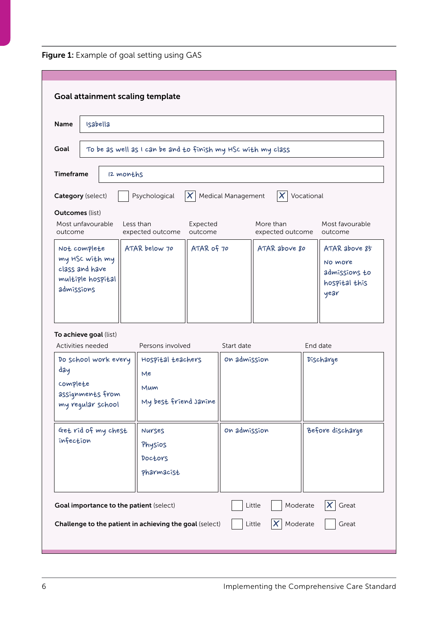

| Goal attainment scaling template                                                                                                                                           |                                                              |                     |                                       |                               |            |                                                                    |
|----------------------------------------------------------------------------------------------------------------------------------------------------------------------------|--------------------------------------------------------------|---------------------|---------------------------------------|-------------------------------|------------|--------------------------------------------------------------------|
| Name<br>Isabella                                                                                                                                                           |                                                              |                     |                                       |                               |            |                                                                    |
| Goal                                                                                                                                                                       | To be as well as I can be and to finish my HSc with my class |                     |                                       |                               |            |                                                                    |
| <b>Timeframe</b><br>12 months                                                                                                                                              |                                                              |                     |                                       |                               |            |                                                                    |
| Category (select)                                                                                                                                                          | Psychological                                                |                     | $ \boldsymbol{X} $ Medical Management | X                             | Vocational |                                                                    |
| <b>Outcomes</b> (list)<br>Most unfavourable<br>outcome                                                                                                                     | Less than<br>expected outcome                                | Expected<br>outcome |                                       | More than<br>expected outcome |            | Most favourable<br>outcome                                         |
| Not complete<br>my HSc with my<br>class and have<br>multiple hospital<br>admissions                                                                                        | ATAR below 70                                                | ATAR of 70          |                                       | ATAR above 80                 |            | ATAR above 85<br>No more<br>admissions to<br>hospital this<br>year |
| To achieve goal (list)<br>Activities needed                                                                                                                                | Persons involved                                             |                     | Start date                            |                               | End date   |                                                                    |
| Do school work every<br>day<br>complete<br>assignments from<br>my regular school                                                                                           | Hospital teachers<br>Me<br>Mum<br>My best friend Janine      |                     | on admission                          |                               |            | Discharge                                                          |
| Get rid of my chest<br>infection                                                                                                                                           | <b>Nurses</b><br>Physios<br>Doctors<br>Pharmacist            |                     | on admission                          |                               |            | Before discharge                                                   |
| Great<br>Goal importance to the patient (select)<br>Moderate<br>Little<br>X<br>Challenge to the patient in achieving the goal (select)<br>Moderate<br>Great<br>Little<br>X |                                                              |                     |                                       |                               |            |                                                                    |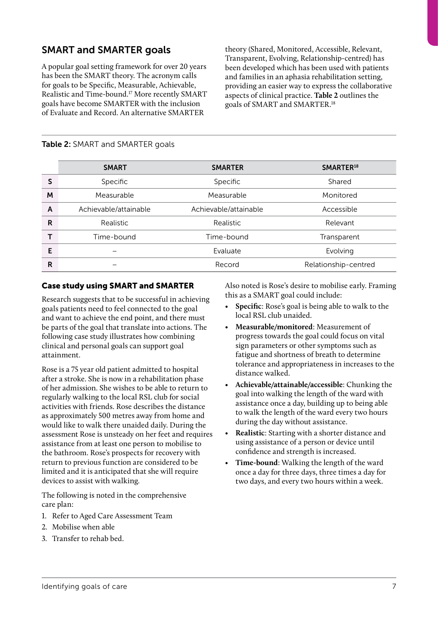### SMART and SMARTER goals

A popular goal setting framework for over 20 years has been the SMART theory. The acronym calls for goals to be Specific, Measurable, Achievable, Realistic and Time-bound.17 More recently SMART goals have become SMARTER with the inclusion of Evaluate and Record. An alternative SMARTER

theory (Shared, Monitored, Accessible, Relevant, Transparent, Evolving, Relationship-centred) has been developed which has been used with patients and families in an aphasia rehabilitation setting, providing an easier way to express the collaborative aspects of clinical practice. **Table 2** outlines the goals of SMART and SMARTER.18

|   | <b>SMART</b>          | <b>SMARTER</b>        | SMARTER <sup>18</sup> |  |  |  |  |
|---|-----------------------|-----------------------|-----------------------|--|--|--|--|
| S | Specific              | Specific              | Shared                |  |  |  |  |
| M | Measurable            | Measurable            | Monitored             |  |  |  |  |
| A | Achievable/attainable | Achievable/attainable | Accessible            |  |  |  |  |
| R | Realistic             | Realistic             | Relevant              |  |  |  |  |
|   | Time-bound            | Time-bound            | Transparent           |  |  |  |  |
| Е |                       | Evaluate              | Evolving              |  |  |  |  |
| R |                       | Record                | Relationship-centred  |  |  |  |  |
|   |                       |                       |                       |  |  |  |  |

#### Table 2: SMART and SMARTER goals

#### Case study using SMART and SMARTER

Research suggests that to be successful in achieving goals patients need to feel connected to the goal and want to achieve the end point, and there must be parts of the goal that translate into actions. The following case study illustrates how combining clinical and personal goals can support goal attainment.

Rose is a 75 year old patient admitted to hospital after a stroke. She is now in a rehabilitation phase of her admission. She wishes to be able to return to regularly walking to the local RSL club for social activities with friends. Rose describes the distance as approximately 500 metres away from home and would like to walk there unaided daily. During the assessment Rose is unsteady on her feet and requires assistance from at least one person to mobilise to the bathroom. Rose's prospects for recovery with return to previous function are considered to be limited and it is anticipated that she will require devices to assist with walking.

The following is noted in the comprehensive care plan:

- 1. Refer to Aged Care Assessment Team
- 2. Mobilise when able
- 3. Transfer to rehab bed.

Also noted is Rose's desire to mobilise early. Framing this as a SMART goal could include:

- **Specific**: Rose's goal is being able to walk to the local RSL club unaided.
- **Measurable/monitored**: Measurement of progress towards the goal could focus on vital sign parameters or other symptoms such as fatigue and shortness of breath to determine tolerance and appropriateness in increases to the distance walked.
- **Achievable/attainable/accessible**: Chunking the goal into walking the length of the ward with assistance once a day, building up to being able to walk the length of the ward every two hours during the day without assistance.
- **Realistic**: Starting with a shorter distance and using assistance of a person or device until confidence and strength is increased.
- **Time-bound**: Walking the length of the ward once a day for three days, three times a day for two days, and every two hours within a week.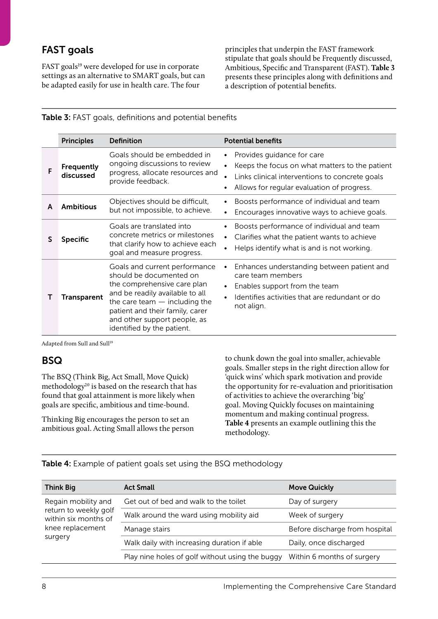### FAST goals

FAST goals<sup>19</sup> were developed for use in corporate settings as an alternative to SMART goals, but can be adapted easily for use in health care. The four

principles that underpin the FAST framework stipulate that goals should be Frequently discussed, Ambitious, Specific and Transparent (FAST). **Table 3** presents these principles along with definitions and a description of potential benefits.

#### Table 3: FAST goals, definitions and potential benefits

|   | <b>Principles</b>              | <b>Definition</b>                                                                                                                                                                                                                                              | <b>Potential benefits</b>                                                                                                                                                                                                |
|---|--------------------------------|----------------------------------------------------------------------------------------------------------------------------------------------------------------------------------------------------------------------------------------------------------------|--------------------------------------------------------------------------------------------------------------------------------------------------------------------------------------------------------------------------|
| F | <b>Frequently</b><br>discussed | Goals should be embedded in<br>ongoing discussions to review<br>progress, allocate resources and<br>provide feedback.                                                                                                                                          | Provides guidance for care<br>٠<br>Keeps the focus on what matters to the patient<br>$\bullet$<br>Links clinical interventions to concrete goals<br>$\bullet$<br>Allows for regular evaluation of progress.<br>$\bullet$ |
| A | <b>Ambitious</b>               | Objectives should be difficult,<br>but not impossible, to achieve.                                                                                                                                                                                             | Boosts performance of individual and team<br>٠<br>Encourages innovative ways to achieve goals.<br>$\bullet$                                                                                                              |
| S | <b>Specific</b>                | Goals are translated into<br>concrete metrics or milestones<br>that clarify how to achieve each<br>goal and measure progress.                                                                                                                                  | Boosts performance of individual and team<br>$\bullet$<br>Clarifies what the patient wants to achieve<br>$\bullet$<br>Helps identify what is and is not working.<br>$\bullet$                                            |
|   | <b>Transparent</b>             | Goals and current performance<br>should be documented on<br>the comprehensive care plan<br>and be readily available to all<br>the care team $-$ including the<br>patient and their family, carer<br>and other support people, as<br>identified by the patient. | Enhances understanding between patient and<br>care team members<br>Enables support from the team<br>Identifies activities that are redundant or do<br>$\bullet$<br>not align.                                            |

Adapted from Sull and Sull<sup>19</sup>

### **BSQ**

The BSQ (Think Big, Act Small, Move Quick) methodology<sup>20</sup> is based on the research that has found that goal attainment is more likely when goals are specific, ambitious and time-bound.

Thinking Big encourages the person to set an ambitious goal. Acting Small allows the person to chunk down the goal into smaller, achievable goals. Smaller steps in the right direction allow for 'quick wins' which spark motivation and provide the opportunity for re-evaluation and prioritisation of activities to achieve the overarching 'big' goal. Moving Quickly focuses on maintaining momentum and making continual progress. **Table 4** presents an example outlining this the methodology.

| <b>Think Big</b>                              | <b>Act Small</b>                                | <b>Move Quickly</b>            |
|-----------------------------------------------|-------------------------------------------------|--------------------------------|
| Regain mobility and                           | Get out of bed and walk to the toilet           | Day of surgery                 |
| return to weekly golf<br>within six months of | Walk around the ward using mobility aid         | Week of surgery                |
| knee replacement                              | Manage stairs                                   | Before discharge from hospital |
| surgery                                       | Walk daily with increasing duration if able     | Daily, once discharged         |
|                                               | Play nine holes of golf without using the buggy | Within 6 months of surgery     |

**Table 4:** Example of patient goals set using the BSQ methodology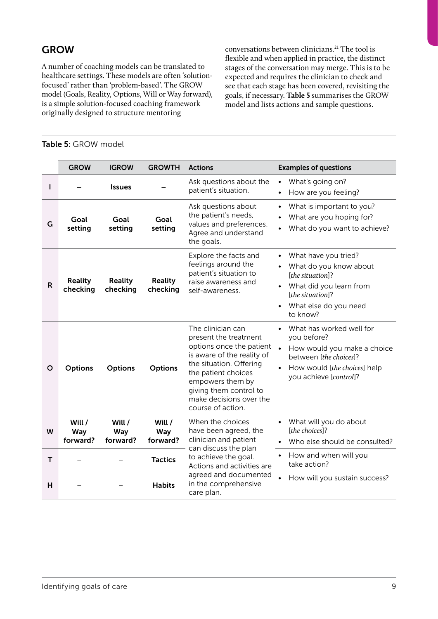### GROW

A number of coaching models can be translated to healthcare settings. These models are often 'solutionfocused' rather than 'problem-based'. The GROW model (Goals, Reality, Options, Will or Way forward), is a simple solution-focused coaching framework originally designed to structure mentoring

conversations between clinicians.21 The tool is flexible and when applied in practice, the distinct stages of the conversation may merge. This is to be expected and requires the clinician to check and see that each stage has been covered, revisiting the goals, if necessary. **Table 5** summarises the GROW model and lists actions and sample questions.

| <b>Table 5:</b> GROW model |  |
|----------------------------|--|
|----------------------------|--|

|              | <b>GROW</b>                | <b>IGROW</b>               | <b>GROWTH</b>              | <b>Actions</b>                                                                                                                                                                                                                                       | <b>Examples of questions</b>                                                                                                                                                         |
|--------------|----------------------------|----------------------------|----------------------------|------------------------------------------------------------------------------------------------------------------------------------------------------------------------------------------------------------------------------------------------------|--------------------------------------------------------------------------------------------------------------------------------------------------------------------------------------|
| ı            |                            | <b>Issues</b>              |                            | Ask questions about the<br>patient's situation.                                                                                                                                                                                                      | What's going on?<br>$\bullet$<br>How are you feeling?<br>$\bullet$                                                                                                                   |
| G            | Goal<br>setting            | Goal<br>setting            | Goal<br>setting            | Ask questions about<br>the patient's needs,<br>values and preferences.<br>Agree and understand<br>the goals.                                                                                                                                         | What is important to you?<br>٠<br>What are you hoping for?<br>What do you want to achieve?                                                                                           |
| $\mathsf{R}$ | <b>Reality</b><br>checking | <b>Reality</b><br>checking | <b>Reality</b><br>checking | Explore the facts and<br>feelings around the<br>patient's situation to<br>raise awareness and<br>self-awareness.                                                                                                                                     | What have you tried?<br>What do you know about<br>[the situation]?<br>What did you learn from<br>[the situation]?<br>What else do you need<br>to know?                               |
| $\circ$      | <b>Options</b>             | <b>Options</b>             | <b>Options</b>             | The clinician can<br>present the treatment<br>options once the patient<br>is aware of the reality of<br>the situation. Offering<br>the patient choices<br>empowers them by<br>giving them control to<br>make decisions over the<br>course of action. | What has worked well for<br>$\bullet$<br>you before?<br>How would you make a choice<br>$\bullet$<br>between [the choices]?<br>How would [the choices] help<br>you achieve [control]? |
| W            | Will /<br>Way<br>forward?  | Will /<br>Way<br>forward?  | Will /<br>Way<br>forward?  | When the choices<br>have been agreed, the<br>clinician and patient                                                                                                                                                                                   | What will you do about<br>[the choices]?<br>Who else should be consulted?                                                                                                            |
| т            |                            |                            | <b>Tactics</b>             | can discuss the plan<br>to achieve the goal.<br>Actions and activities are                                                                                                                                                                           | How and when will you<br>take action?                                                                                                                                                |
| н            |                            |                            | <b>Habits</b>              | agreed and documented<br>in the comprehensive<br>care plan.                                                                                                                                                                                          | $\bullet$<br>How will you sustain success?                                                                                                                                           |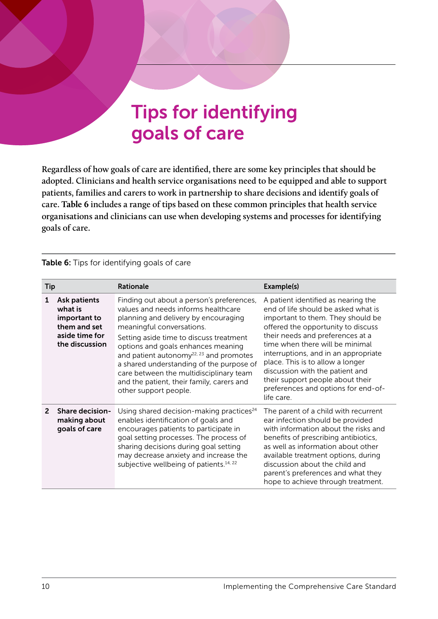# <span id="page-13-0"></span>Tips for identifying goals of care

**Regardless of how goals of care are identified, there are some key principles that should be adopted. Clinicians and health service organisations need to be equipped and able to support patients, families and carers to work in partnership to share decisions and identify goals of care. Table 6 includes a range of tips based on these common principles that health service organisations and clinicians can use when developing systems and processes for identifying goals of care.**

| Tip            |                                                                                                    | Rationale                                                                                                                                                                                                                                                                                                                                                                                                                                                  | Example(s)                                                                                                                                                                                                                                                                                                                                                                                                                           |
|----------------|----------------------------------------------------------------------------------------------------|------------------------------------------------------------------------------------------------------------------------------------------------------------------------------------------------------------------------------------------------------------------------------------------------------------------------------------------------------------------------------------------------------------------------------------------------------------|--------------------------------------------------------------------------------------------------------------------------------------------------------------------------------------------------------------------------------------------------------------------------------------------------------------------------------------------------------------------------------------------------------------------------------------|
| 1              | <b>Ask patients</b><br>what is<br>important to<br>them and set<br>aside time for<br>the discussion | Finding out about a person's preferences,<br>values and needs informs healthcare<br>planning and delivery by encouraging<br>meaningful conversations.<br>Setting aside time to discuss treatment<br>options and goals enhances meaning<br>and patient autonomy <sup>22, 23</sup> and promotes<br>a shared understanding of the purpose of<br>care between the multidisciplinary team<br>and the patient, their family, carers and<br>other support people. | A patient identified as nearing the<br>end of life should be asked what is<br>important to them. They should be<br>offered the opportunity to discuss<br>their needs and preferences at a<br>time when there will be minimal<br>interruptions, and in an appropriate<br>place. This is to allow a longer<br>discussion with the patient and<br>their support people about their<br>preferences and options for end-of-<br>life care. |
| $\overline{2}$ | <b>Share decision-</b><br>making about<br>goals of care                                            | Using shared decision-making practices <sup>24</sup><br>enables identification of goals and<br>encourages patients to participate in<br>goal setting processes. The process of<br>sharing decisions during goal setting<br>may decrease anxiety and increase the<br>subjective wellbeing of patients. <sup>14, 22</sup>                                                                                                                                    | The parent of a child with recurrent<br>ear infection should be provided<br>with information about the risks and<br>benefits of prescribing antibiotics,<br>as well as information about other<br>available treatment options, during<br>discussion about the child and<br>parent's preferences and what they<br>hope to achieve through treatment.                                                                                  |

Table 6: Tips for identifying goals of care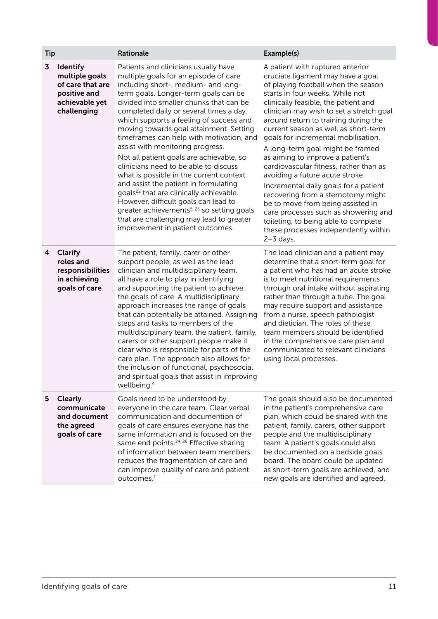| <b>Tip</b> |                                                                                                        | Rationale                                                                                                                                                                                                                                                                                                                                                                                                                                                                                                                                                                                                                                                                                                                                                                                                                                  | Example(s)                                                                                                                                                                                                                                                                                                                                                                                                                                                                                                                                                                                                                                                                                                                                                                 |
|------------|--------------------------------------------------------------------------------------------------------|--------------------------------------------------------------------------------------------------------------------------------------------------------------------------------------------------------------------------------------------------------------------------------------------------------------------------------------------------------------------------------------------------------------------------------------------------------------------------------------------------------------------------------------------------------------------------------------------------------------------------------------------------------------------------------------------------------------------------------------------------------------------------------------------------------------------------------------------|----------------------------------------------------------------------------------------------------------------------------------------------------------------------------------------------------------------------------------------------------------------------------------------------------------------------------------------------------------------------------------------------------------------------------------------------------------------------------------------------------------------------------------------------------------------------------------------------------------------------------------------------------------------------------------------------------------------------------------------------------------------------------|
| 3          | <b>Identify</b><br>multiple goals<br>of care that are<br>positive and<br>achievable yet<br>challenging | Patients and clinicians usually have<br>multiple goals for an episode of care<br>including short-, medium- and long-<br>term goals. Longer-term goals can be<br>divided into smaller chunks that can be<br>completed daily or several times a day,<br>which supports a feeling of success and<br>moving towards goal attainment. Setting<br>timeframes can help with motivation, and<br>assist with monitoring progress.<br>Not all patient goals are achievable, so<br>clinicians need to be able to discuss<br>what is possible in the current context<br>and assist the patient in formulating<br>goals <sup>22</sup> that are clinically achievable.<br>However, difficult goals can lead to<br>greater achievements <sup>5, 25</sup> so setting goals<br>that are challenging may lead to greater<br>improvement in patient outcomes. | A patient with ruptured anterior<br>cruciate ligament may have a goal<br>of playing football when the season<br>starts in four weeks. While not<br>clinically feasible, the patient and<br>clinician may wish to set a stretch goal<br>around return to training during the<br>current season as well as short-term<br>goals for incremental mobilisation.<br>A long-term goal might be framed<br>as aiming to improve a patient's<br>cardiovascular fitness, rather than as<br>avoiding a future acute stroke.<br>Incremental daily goals for a patient<br>recovering from a sternotomy might<br>be to move from being assisted in<br>care processes such as showering and<br>toileting, to being able to complete<br>these processes independently within<br>$2-3$ days. |
| 4          | <b>Clarify</b><br>roles and<br>responsibilities<br>in achieving<br>goals of care                       | The patient, family, carer or other<br>support people, as well as the lead<br>clinician and multidisciplinary team,<br>all have a role to play in identifying<br>and supporting the patient to achieve<br>the goals of care. A multidisciplinary<br>approach increases the range of goals<br>that can potentially be attained. Assigning<br>steps and tasks to members of the<br>multidisciplinary team, the patient, family,<br>carers or other support people make it<br>clear who is responsible for parts of the<br>care plan. The approach also allows for<br>the inclusion of functional, psychosocial<br>and spiritual goals that assist in improving<br>wellbeing. <sup>4</sup>                                                                                                                                                    | The lead clinician and a patient may<br>determine that a short-term goal for<br>a patient who has had an acute stroke<br>is to meet nutritional requirements<br>through oral intake without aspirating<br>rather than through a tube. The goal<br>may require support and assistance<br>from a nurse, speech pathologist<br>and dietician. The roles of these<br>team members should be identified<br>in the comprehensive care plan and<br>communicated to relevant clinicians<br>using local processes.                                                                                                                                                                                                                                                                  |
| 5          | <b>Clearly</b><br>communicate<br>and document<br>the agreed<br>goals of care                           | Goals need to be understood by<br>everyone in the care team. Clear verbal<br>communication and documention of<br>goals of care ensures everyone has the<br>same information and is focused on the<br>same end points. <sup>24, 26</sup> Effective sharing<br>of information between team members<br>reduces the fragmentation of care and<br>can improve quality of care and patient<br>outcomes. <sup>7</sup>                                                                                                                                                                                                                                                                                                                                                                                                                             | The goals should also be documented<br>in the patient's comprehensive care<br>plan, which could be shared with the<br>patient, family, carers, other support<br>people and the multidisciplinary<br>team. A patient's goals could also<br>be documented on a bedside goals<br>board. The board could be updated<br>as short-term goals are achieved, and<br>new goals are identified and agreed.                                                                                                                                                                                                                                                                                                                                                                           |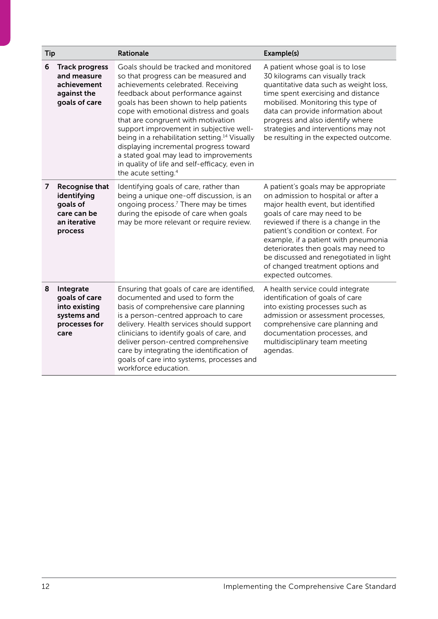| <b>Tip</b>     |                                                                                            | Rationale                                                                                                                                                                                                                                                                                                                                                                                                                                                                                                                                                          | Example(s)                                                                                                                                                                                                                                                                                                                                                                                                          |
|----------------|--------------------------------------------------------------------------------------------|--------------------------------------------------------------------------------------------------------------------------------------------------------------------------------------------------------------------------------------------------------------------------------------------------------------------------------------------------------------------------------------------------------------------------------------------------------------------------------------------------------------------------------------------------------------------|---------------------------------------------------------------------------------------------------------------------------------------------------------------------------------------------------------------------------------------------------------------------------------------------------------------------------------------------------------------------------------------------------------------------|
| 6              | <b>Track progress</b><br>and measure<br>achievement<br>against the<br>goals of care        | Goals should be tracked and monitored<br>so that progress can be measured and<br>achievements celebrated. Receiving<br>feedback about performance against<br>goals has been shown to help patients<br>cope with emotional distress and goals<br>that are congruent with motivation<br>support improvement in subjective well-<br>being in a rehabilitation setting. <sup>14</sup> Visually<br>displaying incremental progress toward<br>a stated goal may lead to improvements<br>in quality of life and self-efficacy, even in<br>the acute setting. <sup>4</sup> | A patient whose goal is to lose<br>30 kilograms can visually track<br>quantitative data such as weight loss,<br>time spent exercising and distance<br>mobilised. Monitoring this type of<br>data can provide information about<br>progress and also identify where<br>strategies and interventions may not<br>be resulting in the expected outcome.                                                                 |
| $\overline{7}$ | <b>Recognise that</b><br>identifying<br>goals of<br>care can be<br>an iterative<br>process | Identifying goals of care, rather than<br>being a unique one-off discussion, is an<br>ongoing process. <sup>7</sup> There may be times<br>during the episode of care when goals<br>may be more relevant or require review.                                                                                                                                                                                                                                                                                                                                         | A patient's goals may be appropriate<br>on admission to hospital or after a<br>major health event, but identified<br>goals of care may need to be<br>reviewed if there is a change in the<br>patient's condition or context. For<br>example, if a patient with pneumonia<br>deteriorates then goals may need to<br>be discussed and renegotiated in light<br>of changed treatment options and<br>expected outcomes. |
| 8              | Integrate<br>goals of care<br>into existing<br>systems and<br>processes for<br>care        | Ensuring that goals of care are identified,<br>documented and used to form the<br>basis of comprehensive care planning<br>is a person-centred approach to care<br>delivery. Health services should support<br>clinicians to identify goals of care, and<br>deliver person-centred comprehensive<br>care by integrating the identification of<br>goals of care into systems, processes and<br>workforce education.                                                                                                                                                  | A health service could integrate<br>identification of goals of care<br>into existing processes such as<br>admission or assessment processes,<br>comprehensive care planning and<br>documentation processes, and<br>multidisciplinary team meeting<br>agendas.                                                                                                                                                       |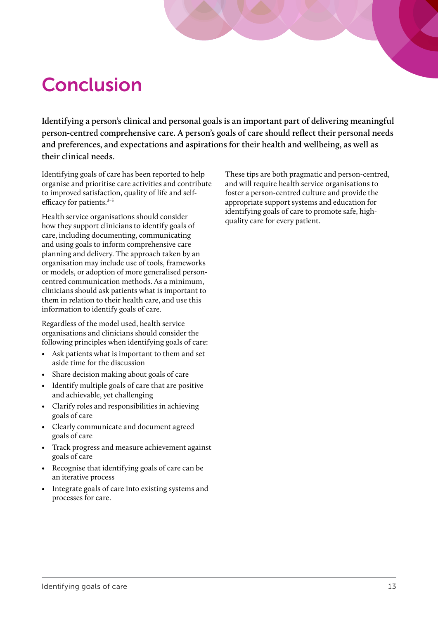# <span id="page-16-0"></span>Conclusion

**Identifying a person's clinical and personal goals is an important part of delivering meaningful person-centred comprehensive care. A person's goals of care should reflect their personal needs and preferences, and expectations and aspirations for their health and wellbeing, as well as their clinical needs.**

Identifying goals of care has been reported to help organise and prioritise care activities and contribute to improved satisfaction, quality of life and selfefficacy for patients.3–5

Health service organisations should consider how they support clinicians to identify goals of care, including documenting, communicating and using goals to inform comprehensive care planning and delivery. The approach taken by an organisation may include use of tools, frameworks or models, or adoption of more generalised personcentred communication methods. As a minimum, clinicians should ask patients what is important to them in relation to their health care, and use this information to identify goals of care.

Regardless of the model used, health service organisations and clinicians should consider the following principles when identifying goals of care:

- Ask patients what is important to them and set aside time for the discussion
- Share decision making about goals of care
- Identify multiple goals of care that are positive and achievable, yet challenging
- Clarify roles and responsibilities in achieving goals of care
- Clearly communicate and document agreed goals of care
- Track progress and measure achievement against goals of care
- Recognise that identifying goals of care can be an iterative process
- Integrate goals of care into existing systems and processes for care.

These tips are both pragmatic and person-centred, and will require health service organisations to foster a person-centred culture and provide the appropriate support systems and education for identifying goals of care to promote safe, highquality care for every patient.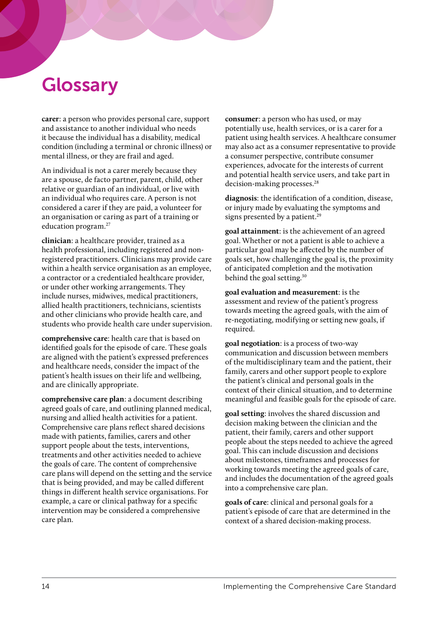# <span id="page-17-0"></span>**Glossary**

**carer**: a person who provides personal care, support and assistance to another individual who needs it because the individual has a disability, medical condition (including a terminal or chronic illness) or mental illness, or they are frail and aged.

An individual is not a carer merely because they are a spouse, de facto partner, parent, child, other relative or guardian of an individual, or live with an individual who requires care. A person is not considered a carer if they are paid, a volunteer for an organisation or caring as part of a training or education program.<sup>27</sup>

**clinician**: a healthcare provider, trained as a health professional, including registered and nonregistered practitioners. Clinicians may provide care within a health service organisation as an employee, a contractor or a credentialed healthcare provider, or under other working arrangements. They include nurses, midwives, medical practitioners, allied health practitioners, technicians, scientists and other clinicians who provide health care, and students who provide health care under supervision.

**comprehensive care**: health care that is based on identified goals for the episode of care. These goals are aligned with the patient's expressed preferences and healthcare needs, consider the impact of the patient's health issues on their life and wellbeing, and are clinically appropriate.

**comprehensive care plan**: a document describing agreed goals of care, and outlining planned medical, nursing and allied health activities for a patient. Comprehensive care plans reflect shared decisions made with patients, families, carers and other support people about the tests, interventions, treatments and other activities needed to achieve the goals of care. The content of comprehensive care plans will depend on the setting and the service that is being provided, and may be called different things in different health service organisations. For example, a care or clinical pathway for a specific intervention may be considered a comprehensive care plan.

**consumer**: a person who has used, or may potentially use, health services, or is a carer for a patient using health services. A healthcare consumer may also act as a consumer representative to provide a consumer perspective, contribute consumer experiences, advocate for the interests of current and potential health service users, and take part in decision-making processes.<sup>28</sup>

**diagnosis**: the identification of a condition, disease, or injury made by evaluating the symptoms and signs presented by a patient.<sup>29</sup>

**goal attainment**: is the achievement of an agreed goal. Whether or not a patient is able to achieve a particular goal may be affected by the number of goals set, how challenging the goal is, the proximity of anticipated completion and the motivation behind the goal setting.<sup>30</sup>

**goal evaluation and measurement**: is the assessment and review of the patient's progress towards meeting the agreed goals, with the aim of re-negotiating, modifying or setting new goals, if required.

**goal negotiation**: is a process of two-way communication and discussion between members of the multidisciplinary team and the patient, their family, carers and other support people to explore the patient's clinical and personal goals in the context of their clinical situation, and to determine meaningful and feasible goals for the episode of care.

**goal setting**: involves the shared discussion and decision making between the clinician and the patient, their family, carers and other support people about the steps needed to achieve the agreed goal. This can include discussion and decisions about milestones, timeframes and processes for working towards meeting the agreed goals of care, and includes the documentation of the agreed goals into a comprehensive care plan.

**goals of care**: clinical and personal goals for a patient's episode of care that are determined in the context of a shared decision-making process.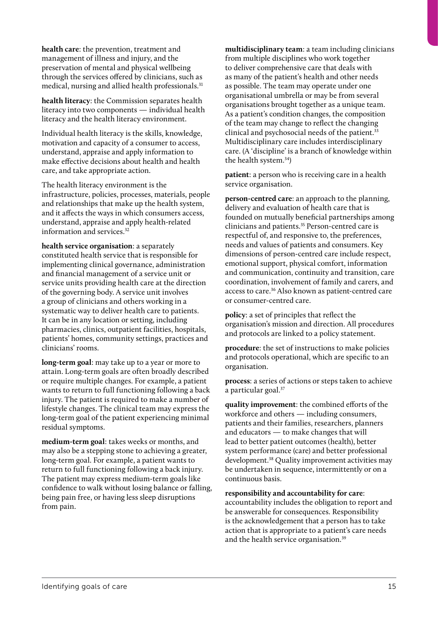**health care**: the prevention, treatment and management of illness and injury, and the preservation of mental and physical wellbeing through the services offered by clinicians, such as medical, nursing and allied health professionals.<sup>31</sup>

**health literacy**: the Commission separates health literacy into two components — individual health literacy and the health literacy environment.

Individual health literacy is the skills, knowledge, motivation and capacity of a consumer to access, understand, appraise and apply information to make effective decisions about health and health care, and take appropriate action.

The health literacy environment is the infrastructure, policies, processes, materials, people and relationships that make up the health system, and it affects the ways in which consumers access, understand, appraise and apply health-related information and services.32

**health service organisation**: a separately constituted health service that is responsible for implementing clinical governance, administration and financial management of a service unit or service units providing health care at the direction of the governing body. A service unit involves a group of clinicians and others working in a systematic way to deliver health care to patients. It can be in any location or setting, including pharmacies, clinics, outpatient facilities, hospitals, patients' homes, community settings, practices and clinicians' rooms.

**long-term goal**: may take up to a year or more to attain. Long-term goals are often broadly described or require multiple changes. For example, a patient wants to return to full functioning following a back injury. The patient is required to make a number of lifestyle changes. The clinical team may express the long-term goal of the patient experiencing minimal residual symptoms.

**medium-term goal**: takes weeks or months, and may also be a stepping stone to achieving a greater, long-term goal. For example, a patient wants to return to full functioning following a back injury. The patient may express medium-term goals like confidence to walk without losing balance or falling, being pain free, or having less sleep disruptions from pain.

**multidisciplinary team**: a team including clinicians from multiple disciplines who work together to deliver comprehensive care that deals with as many of the patient's health and other needs as possible. The team may operate under one organisational umbrella or may be from several organisations brought together as a unique team. As a patient's condition changes, the composition of the team may change to reflect the changing clinical and psychosocial needs of the patient.<sup>33</sup> Multidisciplinary care includes interdisciplinary care. (A 'discipline' is a branch of knowledge within the health system.34)

**patient**: a person who is receiving care in a health service organisation.

**person-centred care**: an approach to the planning, delivery and evaluation of health care that is founded on mutually beneficial partnerships among clinicians and patients.35 Person-centred care is respectful of, and responsive to, the preferences, needs and values of patients and consumers. Key dimensions of person-centred care include respect, emotional support, physical comfort, information and communication, continuity and transition, care coordination, involvement of family and carers, and access to care.36 Also known as patient-centred care or consumer-centred care.

**policy**: a set of principles that reflect the organisation's mission and direction. All procedures and protocols are linked to a policy statement.

**procedure**: the set of instructions to make policies and protocols operational, which are specific to an organisation.

**process**: a series of actions or steps taken to achieve a particular goal.<sup>37</sup>

**quality improvement**: the combined efforts of the workforce and others — including consumers, patients and their families, researchers, planners and educators — to make changes that will lead to better patient outcomes (health), better system performance (care) and better professional development.38 Quality improvement activities may be undertaken in sequence, intermittently or on a continuous basis.

**responsibility and accountability for care**: accountability includes the obligation to report and be answerable for consequences. Responsibility is the acknowledgement that a person has to take action that is appropriate to a patient's care needs and the health service organisation.39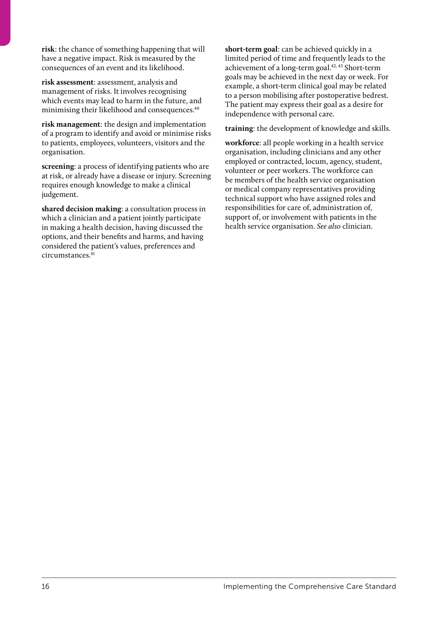**risk**: the chance of something happening that will have a negative impact. Risk is measured by the consequences of an event and its likelihood.

**risk assessment**: assessment, analysis and management of risks. It involves recognising which events may lead to harm in the future, and minimising their likelihood and consequences.40

**risk management**: the design and implementation of a program to identify and avoid or minimise risks to patients, employees, volunteers, visitors and the organisation.

**screening**: a process of identifying patients who are at risk, or already have a disease or injury. Screening requires enough knowledge to make a clinical judgement.

**shared decision making**: a consultation process in which a clinician and a patient jointly participate in making a health decision, having discussed the options, and their benefits and harms, and having considered the patient's values, preferences and circumstances.41

**short-term goal**: can be achieved quickly in a limited period of time and frequently leads to the achievement of a long-term goal.42, 43 Short-term goals may be achieved in the next day or week. For example, a short-term clinical goal may be related to a person mobilising after postoperative bedrest. The patient may express their goal as a desire for independence with personal care.

**training**: the development of knowledge and skills.

**workforce**: all people working in a health service organisation, including clinicians and any other employed or contracted, locum, agency, student, volunteer or peer workers. The workforce can be members of the health service organisation or medical company representatives providing technical support who have assigned roles and responsibilities for care of, administration of, support of, or involvement with patients in the health service organisation. *See also* clinician.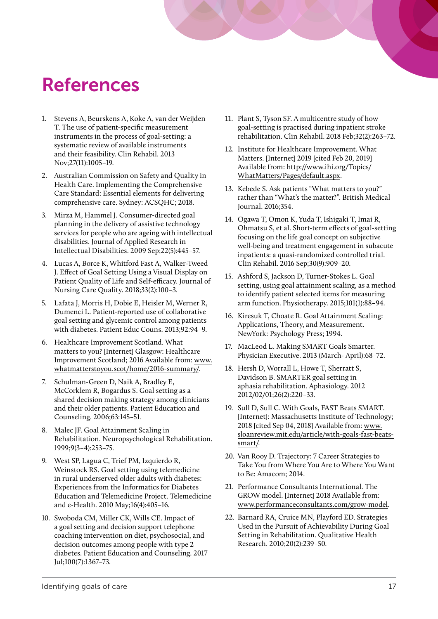## <span id="page-20-0"></span>References

- 1. Stevens A, Beurskens A, Koke A, van der Weijden T. The use of patient-specific measurement instruments in the process of goal-setting: a systematic review of available instruments and their feasibility. Clin Rehabil. 2013 Nov;27(11):1005–19.
- 2. Australian Commission on Safety and Quality in Health Care. Implementing the Comprehensive Care Standard: Essential elements for delivering comprehensive care. Sydney: ACSQHC; 2018.
- 3. Mirza M, Hammel J. Consumer-directed goal planning in the delivery of assistive technology services for people who are ageing with intellectual disabilities. Journal of Applied Research in Intellectual Disabilities. 2009 Sep;22(5):445–57.
- 4. Lucas A, Borce K, Whitford Fast A, Walker-Tweed J. Effect of Goal Setting Using a Visual Display on Patient Quality of Life and Self-efficacy. Journal of Nursing Care Quality. 2018;33(2):100–3.
- 5. Lafata J, Morris H, Dobie E, Heisler M, Werner R, Dumenci L. Patient-reported use of collaborative goal setting and glycemic control among patients with diabetes. Patient Educ Couns. 2013;92:94–9.
- 6. Healthcare Improvement Scotland. What matters to you? [Internet] Glasgow: Healthcare Improvement Scotland; 2016 Available from: [www.](http://www.whatmatterstoyou.scot/home/2016-summary/) [whatmatterstoyou.scot/home/2016-summary/.](http://www.whatmatterstoyou.scot/home/2016-summary/)
- 7. Schulman-Green D, Naik A, Bradley E, McCorklem R, Bogardus S. Goal setting as a shared decision making strategy among clinicians and their older patients. Patient Education and Counseling. 2006;63:145–51.
- 8. Malec JF. Goal Attainment Scaling in Rehabilitation. Neuropsychological Rehabilitation. 1999;9(3–4):253–75.
- 9. West SP, Lagua C, Trief PM, Izquierdo R, Weinstock RS. Goal setting using telemedicine in rural underserved older adults with diabetes: Experiences from the Informatics for Diabetes Education and Telemedicine Project. Telemedicine and e-Health. 2010 May;16(4):405–16.
- 10. Swoboda CM, Miller CK, Wills CE. Impact of a goal setting and decision support telephone coaching intervention on diet, psychosocial, and decision outcomes among people with type 2 diabetes. Patient Education and Counseling. 2017 Jul;100(7):1367–73.
- 11. Plant S, Tyson SF. A multicentre study of how goal-setting is practised during inpatient stroke rehabilitation. Clin Rehabil. 2018 Feb;32(2):263–72.
- 12. Institute for Healthcare Improvement. What Matters. [Internet] 2019 [cited Feb 20, 2019] Available from: [http://www.ihi.org/Topics/](http://www.ihi.org/Topics/WhatMatters/Pages/default.aspx) [WhatMatters/Pages/default.aspx.](http://www.ihi.org/Topics/WhatMatters/Pages/default.aspx)
- 13. Kebede S. Ask patients "What matters to you?" rather than "What's the matter?". British Medical Journal. 2016;354.
- 14. Ogawa T, Omon K, Yuda T, Ishigaki T, Imai R, Ohmatsu S, et al. Short-term effects of goal-setting focusing on the life goal concept on subjective well-being and treatment engagement in subacute inpatients: a quasi-randomized controlled trial. Clin Rehabil. 2016 Sep;30(9):909–20.
- 15. Ashford S, Jackson D, Turner-Stokes L. Goal setting, using goal attainment scaling, as a method to identify patient selected items for measuring arm function. Physiotherapy. 2015;101(1):88–94.
- 16. Kiresuk T, Choate R. Goal Attainment Scaling: Applications, Theory, and Measurement. NewYork: Psychology Press; 1994.
- 17. MacLeod L. Making SMART Goals Smarter. Physician Executive. 2013 (March- April):68–72.
- 18. Hersh D, Worrall L, Howe T, Sherratt S, Davidson B. SMARTER goal setting in aphasia rehabilitation. Aphasiology. 2012 2012/02/01;26(2):220–33.
- 19. Sull D, Sull C. With Goals, FAST Beats SMART. [Internet]: Massachusetts Institute of Technology; 2018 [cited Sep 04, 2018] Available from: [www.](http://www.sloanreview.mit.edu/article/with-goals-fast-beats-smart/) [sloanreview.mit.edu/article/with-goals-fast-beats](http://www.sloanreview.mit.edu/article/with-goals-fast-beats-smart/)[smart/](http://www.sloanreview.mit.edu/article/with-goals-fast-beats-smart/).
- 20. Van Rooy D. Trajectory: 7 Career Strategies to Take You from Where You Are to Where You Want to Be: Amacom; 2014.
- 21. Performance Consultants International. The GROW model. [Internet] 2018 Available from: [www.performanceconsultants.com/grow-model](http://www.performanceconsultants.com/grow-model).
- 22. Barnard RA, Cruice MN, Playford ED. Strategies Used in the Pursuit of Achievability During Goal Setting in Rehabilitation. Qualitative Health Research. 2010;20(2):239–50.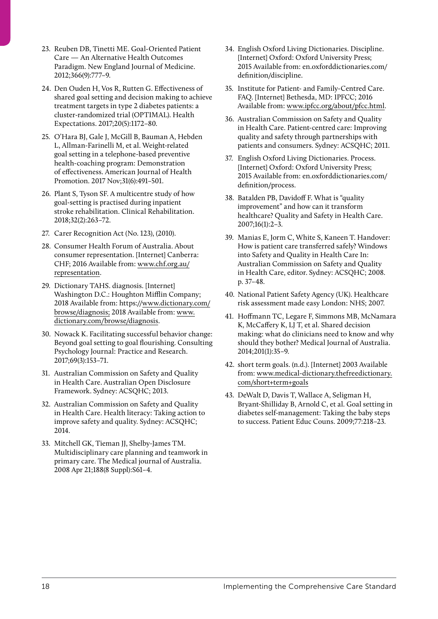- 23. Reuben DB, Tinetti ME. Goal-Oriented Patient Care — An Alternative Health Outcomes Paradigm. New England Journal of Medicine. 2012;366(9):777–9.
- 24. Den Ouden H, Vos R, Rutten G. Effectiveness of shared goal setting and decision making to achieve treatment targets in type 2 diabetes patients: a cluster-randomized trial (OPTIMAL). Health Expectations. 2017;20(5):1172–80.
- 25. O'Hara BJ, Gale J, McGill B, Bauman A, Hebden L, Allman-Farinelli M, et al. Weight-related goal setting in a telephone-based preventive health-coaching program: Demonstration of effectiveness. American Journal of Health Promotion. 2017 Nov;31(6):491–501.
- 26. Plant S, Tyson SF. A multicentre study of how goal-setting is practised during inpatient stroke rehabilitation. Clinical Rehabilitation. 2018;32(2):263–72.
- 27. Carer Recognition Act (No. 123), (2010).
- 28. Consumer Health Forum of Australia. About consumer representation. [Internet] Canberra: CHF; 2016 Available from: [www.chf.org.au/](http://www.chf.org.au/representation) [representation.](http://www.chf.org.au/representation)
- 29. Dictionary TAHS. diagnosis. [Internet] Washington D.C.: Houghton Mifflin Company; 2018 Available from: https:/[/www.dictionary.com/](http://www.dictionary.com/browse/diagnosis;) [browse/diagnosis;](http://www.dictionary.com/browse/diagnosis;) 2018 Available from: [www.](http://www.dictionary.com/browse/diagnosis) [dictionary.com/browse/diagnosis](http://www.dictionary.com/browse/diagnosis).
- 30. Nowack K. Facilitating successful behavior change: Beyond goal setting to goal flourishing. Consulting Psychology Journal: Practice and Research. 2017;69(3):153–71.
- 31. Australian Commission on Safety and Quality in Health Care. Australian Open Disclosure Framework. Sydney: ACSQHC; 2013.
- 32. Australian Commission on Safety and Quality in Health Care. Health literacy: Taking action to improve safety and quality. Sydney: ACSQHC; 2014.
- 33. Mitchell GK, Tieman JJ, Shelby-James TM. Multidisciplinary care planning and teamwork in primary care. The Medical journal of Australia. 2008 Apr 21;188(8 Suppl):S61–4.
- 34. English Oxford Living Dictionaries. Discipline. [Internet] Oxford: Oxford University Press; 2015 Available from: en.oxforddictionaries.com/ definition/discipline.
- 35. Institute for Patient- and Family-Centred Care. FAQ. [Internet] Bethesda, MD: IPFCC; 2016 Available from: [www.ipfcc.org/about/pfcc.html.](http://www.ipfcc.org/about/pfcc.html)
- 36. Australian Commission on Safety and Quality in Health Care. Patient-centred care: Improving quality and safety through partnerships with patients and consumers. Sydney: ACSQHC; 2011.
- 37. English Oxford Living Dictionaries. Process. [Internet] Oxford: Oxford University Press; 2015 Available from: en.oxforddictionaries.com/ definition/process.
- 38. Batalden PB, Davidoff F. What is "quality improvement" and how can it transform healthcare? Quality and Safety in Health Care. 2007;16(1):2–3.
- 39. Manias E, Jorm C, White S, Kaneen T. Handover: How is patient care transferred safely? Windows into Safety and Quality in Health Care In: Australian Commission on Safety and Quality in Health Care, editor. Sydney: ACSQHC; 2008. p. 37–48.
- 40. National Patient Safety Agency (UK). Healthcare risk assessment made easy London: NHS; 2007.
- 41. Hoffmann TC, Legare F, Simmons MB, McNamara K, McCaffery K, LJ T, et al. Shared decision making: what do clinicians need to know and why should they bother? Medical Journal of Australia. 2014;201(1):35–9.
- 42. short term goals. (n.d.). [Internet] 2003 Available from: [www.medical-dictionary.thefreedictionary.](http://www.medical-dictionary.thefreedictionary.com/short+term+goals) [com/short+term+goals](http://www.medical-dictionary.thefreedictionary.com/short+term+goals)
- 43. DeWalt D, Davis T, Wallace A, Seligman H, Bryant-Shilliday B, Arnold C, et al. Goal setting in diabetes self-management: Taking the baby steps to success. Patient Educ Couns. 2009;77:218–23.